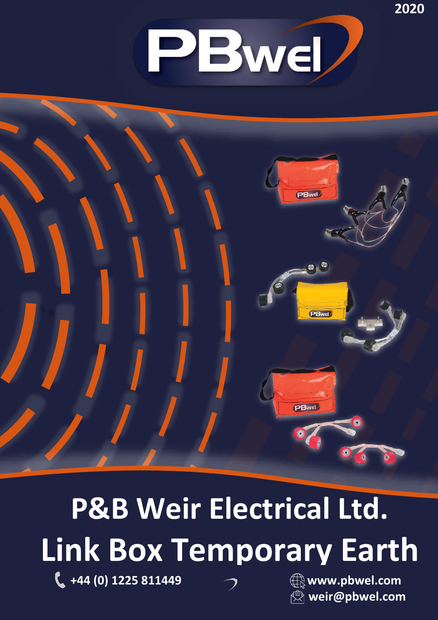



# **P&B Weir Electrical Ltd. Link Box Temporary Earth**

**+44 (0) 1225 811449 www.pbwel.com**



**weir@pbwel.com**

**2020**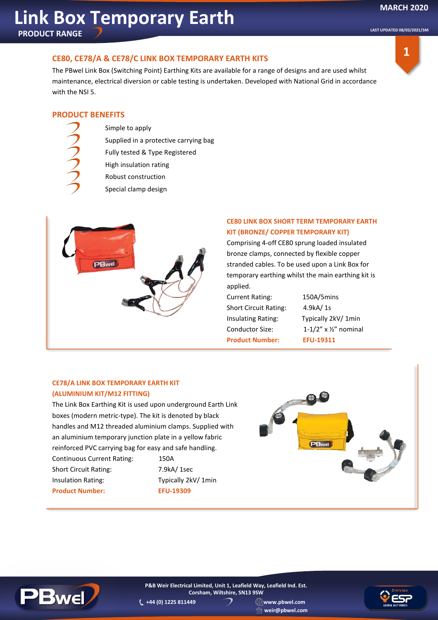**LAST UPDATED 08/03/2021/SM**

## **CE80, CE78/A & CE78/C LINK BOX TEMPORARY EARTH KITS**

The PBwel Link Box (Switching Point) Earthing Kits are available for a range of designs and are used whilst maintenance, electrical diversion or cable testing is undertaken. Developed with National Grid in accordance with the NSI 5.



### **PRODUCT BENEFITS**

- Simple to apply
	- Supplied in a protective carrying bag
	- Fully tested & Type Registered
	- High insulation rating
- Robust construction
- Special clamp design



### **CE80 LINK BOX SHORT TERM TEMPORARY EARTH KIT (BRONZE/ COPPER TEMPORARY KIT)**

Comprising 4-off CE80 sprung loaded insulated bronze clamps, connected by flexible copper stranded cables. To be used upon a Link Box for temporary earthing whilst the main earthing kit is applied.

Current Rating: 150A/5mins Short Circuit Rating: 4.9kA/ 1s Insulating Rating: Typically 2kV/ 1min Conductor Size: 1-1/2" x ½" nominal **Product Number: EFU-19311**

### **CE78/A LINK BOX TEMPORARY EARTH KIT (ALUMINIUM KIT/M12 FITTING)**

The Link Box Earthing Kit is used upon underground Earth Link boxes (modern metric-type). The kit is denoted by black handles and M12 threaded aluminium clamps. Supplied with an aluminium temporary junction plate in a yellow fabric reinforced PVC carrying bag for easy and safe handling. Continuous Current Rating: 150A Short Circuit Rating: 7.9kA/ 1sec

Insulation Rating: Typically 2kV/ 1min **Product Number: EFU-19309** 





**+44 (0) 1225 811449 www.pbwel.com P&B Weir Electrical Limited, Unit 1, Leafield Way, Leafield Ind. Est. Corsham, Wiltshire, SN13 9SW**

**weir@pbwel.com**